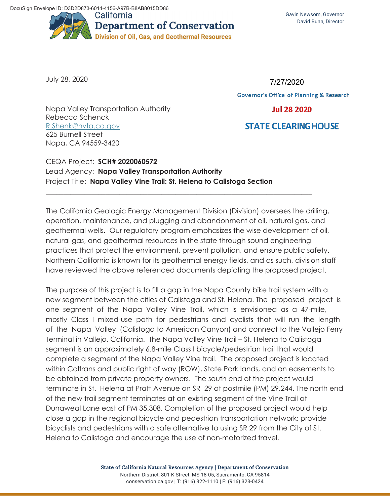

July 28, 2020

7/27/2020**Governor's Office of Planning & Research Jul 28 2020** 

**STATE CLEARING HOUSE** 

Napa Valley Transportation Authority Rebecca Schenck R.Shenk@nvta.ca.gov 625 Burnell Street Napa, CA 94559-3420

## CEQA Project: **SCH# 2020060572**  Lead Agency: **Napa Valley Transportation Authority**  Project Title: **Napa Valley Vine Trail: St. Helena to Calistoga Section**

The California Geologic Energy Management Division (Division) oversees the drilling, operation, maintenance, and plugging and abandonment of oil, natural gas, and geothermal wells. Our regulatory program emphasizes the wise development of oil, natural gas, and geothermal resources in the state through sound engineering practices that protect the environment, prevent pollution, and ensure public safety. Northern California is known for its geothermal energy fields, and as such, division staff have reviewed the above referenced documents depicting the proposed project.

\_\_\_\_\_\_\_\_\_\_\_\_\_\_\_\_\_\_\_\_\_\_\_\_\_\_\_\_\_\_\_\_\_\_\_\_\_\_\_\_\_\_\_\_\_\_\_\_\_\_\_\_\_\_\_\_\_\_\_\_\_\_\_\_\_\_\_\_\_\_\_\_\_\_\_\_

The purpose of this project is to fill a gap in the Napa County bike trail system with a new segment between the cities of Calistoga and St. Helena. The proposed project is one segment of the Napa Valley Vine Trail, which is envisioned as a 47-mile, mostly Class I mixed-use path for pedestrians and cyclists that will run the length of the Napa Valley (Calistoga to American Canyon) and connect to the Vallejo Ferry Terminal in Vallejo, California. The Napa Valley Vine Trail – St. Helena to Calistoga segment is an approximately 6.8-mile Class I bicycle/pedestrian trail that would complete a segment of the Napa Valley Vine trail. The proposed project is located within Caltrans and public right of way (ROW), State Park lands, and on easements to be obtained from private property owners. The south end of the project would terminate in St. Helena at Pratt Avenue on SR 29 at postmile (PM) 29.244. The north end of the new trail segment terminates at an existing segment of the Vine Trail at Dunaweal Lane east of PM 35.308. Completion of the proposed project would help close a gap in the regional bicycle and pedestrian transportation network; provide bicyclists and pedestrians with a safe alternative to using SR 29 from the City of St. Helena to Calistoga and encourage the use of non-motorized travel.

> **State of California Natural Resources Agency | Department of Conservation**  Northern District, 801 K Street, MS 18-05, Sacramento, CA 95814 conservation.ca.gov | T: (916) 322-1110 | F: (916) 323-0424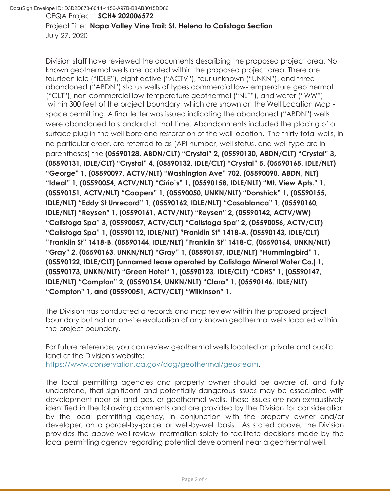CEQA Project: **SCH# 202006572** 

Project Title: **Napa Valley Vine Trail: St. Helena to Calistoga Section** July 27, 2020

Division staff have reviewed the documents describing the proposed project area. No known geothermal wells are located within the proposed project area. There are fourteen idle ("IDLE"), eight active ("ACTV"), four unknown ("UNKN"), and three abandoned ("ABDN") status wells of types commercial low-temperature geothermal ("CLT"), non-commercial low-temperature geothermal ("NLT"), and water ("WW") within 300 feet of the project boundary, which are shown on the Well Location Map space permitting. A final letter was issued indicating the abandoned ("ABDN") wells were abandoned to standard at that time. Abandonments included the placing of a surface plug in the well bore and restoration of the well location. The thirty total wells, in no particular order, are referred to as (API number, well status, and well type are in parentheses) the **(05590128, ABDN/CLT) "Crystal" 2, (05590130, ABDN/CLT) "Crystal" 3, (05590131, IDLE/CLT) "Crystal" 4, (05590132, IDLE/CLT) "Crystal" 5, (05590165, IDLE/NLT) "George" 1, (05590097, ACTV/NLT) "Washington Ave" 702, (05590090, ABDN, NLT) "Ideal" 1, (05590054, ACTV/NLT) "Cirio's" 1, (05590158, IDLE/NLT) "Mt. View Apts." 1, (05590151, ACTV/NLT) "Coopers" 1, (05590050, UNKN/NLT) "Donshick" 1, (05590155, IDLE/NLT) "Eddy St Unrecord" 1, (05590162, IDLE/NLT) "Casablanca" 1, (05590160, IDLE/NLT) "Reysen" 1, (05590161, ACTV/NLT) "Reysen" 2, (05590142, ACTV/WW) "Calistoga Spa" 3, (05590057, ACTV/CLT) "Calistoga Spa" 2, (05590056, ACTV/CLT) "Calistoga Spa" 1, (05590112, IDLE/NLT) "Franklin St" 1418-A, (05590143, IDLE/CLT) "Franklin St" 1418-B, (05590144, IDLE/NLT) "Franklin St" 1418-C, (05590164, UNKN/NLT) "Gray" 2, (05590163, UNKN/NLT) "Gray" 1, (05590157, IDLE/NLT) "Hummingbird" 1, (05590122, IDLE/CLT) [unnamed lease operated by Calistoga Mineral Water Co.] 1, (05590173, UNKN/NLT) "Green Hotel" 1, (05590123, IDLE/CLT) "CDHS" 1, (05590147, IDLE/NLT) "Compton" 2, (05590154, UNKN/NLT) "Clara" 1, (05590146, IDLE/NLT) "Compton" 1, and (05590051, ACTV/CLT) "Wilkinson" 1.**

The Division has conducted a records and map review within the proposed project boundary but not an on-site evaluation of any known geothermal wells located within the project boundary.

For future reference, you can review geothermal wells located on private and public land at the Division's website: https://www.conservation.ca.gov/dog/geothermal/geosteam.

The local permitting agencies and property owner should be aware of, and fully understand, that significant and potentially dangerous issues may be associated with development near oil and gas, or geothermal wells. These issues are non-exhaustively identified in the following comments and are provided by the Division for consideration by the local permitting agency, in conjunction with the property owner and/or developer, on a parcel-by-parcel or well-by-well basis. As stated above, the Division provides the above well review information solely to facilitate decisions made by the local permitting agency regarding potential development near a geothermal well.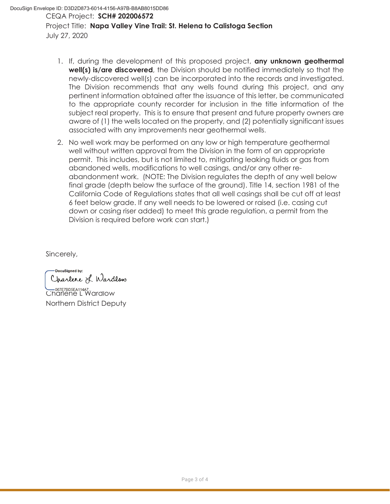- 1. If, during the development of this proposed project, **any unknown geothermal well(s) is/are discovered**, the Division should be notified immediately so that the newly-discovered well(s) can be incorporated into the records and investigated. The Division recommends that any wells found during this project, and any pertinent information obtained after the issuance of this letter, be communicated to the appropriate county recorder for inclusion in the title information of the subject real property. This is to ensure that present and future property owners are aware of (1) the wells located on the property, and (2) potentially significant issues associated with any improvements near geothermal wells.
- 2. No well work may be performed on any low or high temperature geothermal well without written approval from the Division in the form of an appropriate permit. This includes, but is not limited to, mitigating leaking fluids or gas from abandoned wells, modifications to well casings, and/or any other reabandonment work. (NOTE: The Division regulates the depth of any well below final grade (depth below the surface of the ground). Title 14, section 1981 of the California Code of Regulations states that all well casings shall be cut off at least 6 feet below grade. If any well needs to be lowered or raised (i.e. casing cut down or casing riser added) to meet this grade regulation, a permit from the Division is required before work can start.)

Sincerely,

DocuSianed by: Charlene L Wardlow

**CONGRETABLE AT 11447...**<br>Charlene L Wardlow Northern District Deputy